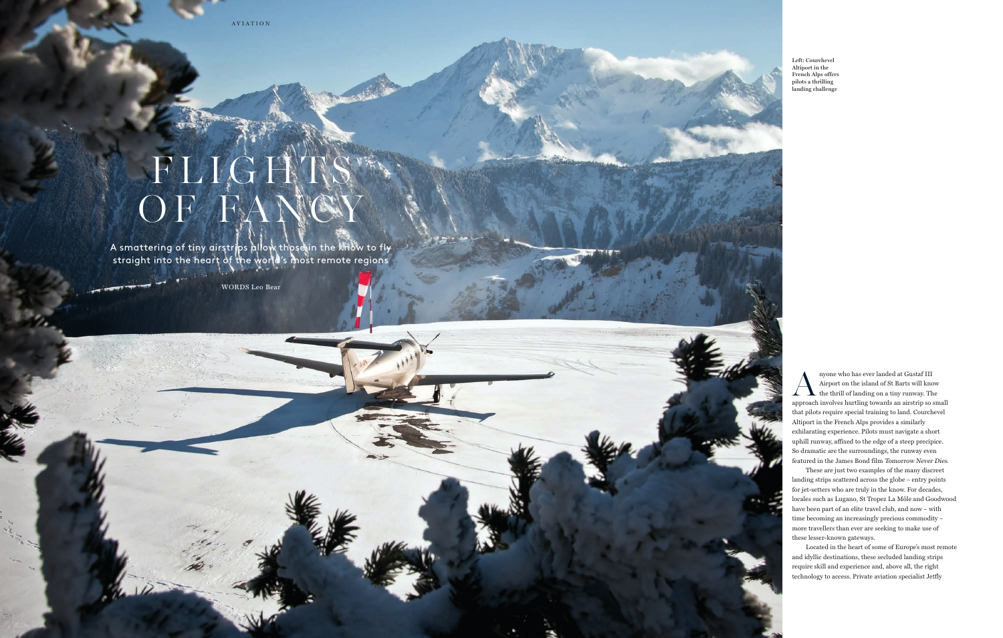Anyone who has ever landed at Gustaf III Airport on the island of St Barts will know the thrill of landing on a tiny runway. The Airport on the island of St Barts will know approach involves hurtling towards an airstrip so small that pilots require special training to land. Courchevel Altiport in the French Alps provides a similarly exhilarating experience. Pilots must navigate a short uphill runway, affixed to the edge of a steep precipice. So dramatic are the surroundings, the runway even featured in the James Bond film Tomorrow Never Dies.

## FLIGHTS OF FANCY

A smattering of tiny airstrips allow those in the know to fly straight into the heart of the world's most remote regions

> These are just two examples of the many discreet landing strips scattered across the globe – entry points for jet-setters who are truly in the know. For decades, locales such as Lugano, St Tropez La Môle and Goodwood have been part of an elite travel club, and now – with time becoming an increasingly precious commodity – more travellers than ever are seeking to make use of these lesser-known gateways.

Located in the heart of some of Europe's most remote and idyllic destinations, these secluded landing strips require skill and experience and, above all, the right technology to access. Private aviation specialist Jetfly

**Left: Courchevel Altiport in the French Alps offers pilots a thrilling landing challenge**

– 62 –



AVIATION

WORDS Leo Bear